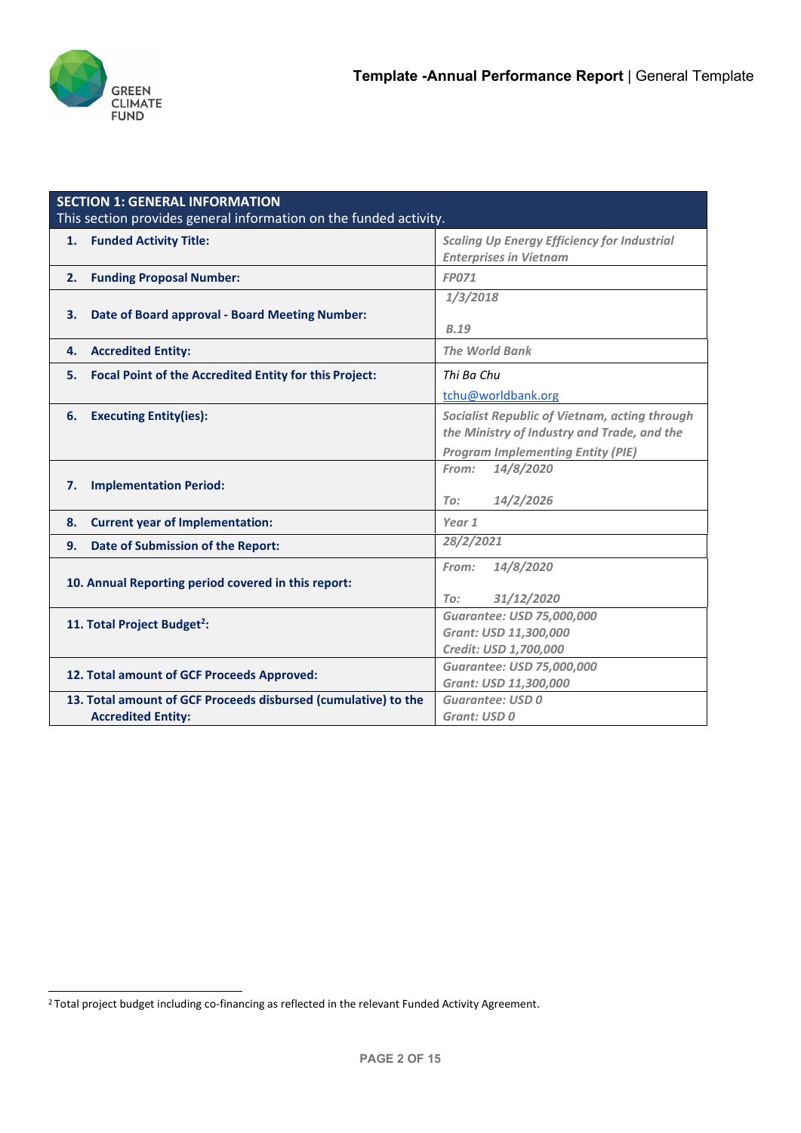

|    | <b>SECTION 1: GENERAL INFORMATION</b>                             |                                                    |  |  |  |  |
|----|-------------------------------------------------------------------|----------------------------------------------------|--|--|--|--|
|    | This section provides general information on the funded activity. |                                                    |  |  |  |  |
| 1. | <b>Funded Activity Title:</b>                                     | <b>Scaling Up Energy Efficiency for Industrial</b> |  |  |  |  |
|    |                                                                   | <b>Enterprises in Vietnam</b>                      |  |  |  |  |
| 2. | <b>Funding Proposal Number:</b>                                   | <b>FP071</b>                                       |  |  |  |  |
|    |                                                                   | 1/3/2018                                           |  |  |  |  |
| 3. | Date of Board approval - Board Meeting Number:                    |                                                    |  |  |  |  |
|    |                                                                   | <b>B.19</b>                                        |  |  |  |  |
| 4. | <b>Accredited Entity:</b>                                         | <b>The World Bank</b>                              |  |  |  |  |
| 5. | Focal Point of the Accredited Entity for this Project:            | Thi Ba Chu                                         |  |  |  |  |
|    |                                                                   | tchu@worldbank.org                                 |  |  |  |  |
| 6. | <b>Executing Entity(ies):</b>                                     | Socialist Republic of Vietnam, acting through      |  |  |  |  |
|    |                                                                   | the Ministry of Industry and Trade, and the        |  |  |  |  |
|    |                                                                   | <b>Program Implementing Entity (PIE)</b>           |  |  |  |  |
|    |                                                                   | 14/8/2020<br>From:                                 |  |  |  |  |
| 7. | <b>Implementation Period:</b>                                     |                                                    |  |  |  |  |
|    |                                                                   | 14/2/2026<br>To:                                   |  |  |  |  |
| 8. | <b>Current year of Implementation:</b>                            | Year 1                                             |  |  |  |  |
| 9. | Date of Submission of the Report:                                 | 28/2/2021                                          |  |  |  |  |
|    |                                                                   | 14/8/2020<br>From:                                 |  |  |  |  |
|    | 10. Annual Reporting period covered in this report:               |                                                    |  |  |  |  |
|    |                                                                   | 31/12/2020<br>To:                                  |  |  |  |  |
|    | 11. Total Project Budget <sup>2</sup> :                           | Guarantee: USD 75,000,000                          |  |  |  |  |
|    |                                                                   | Grant: USD 11,300,000                              |  |  |  |  |
|    |                                                                   | Credit: USD 1,700,000                              |  |  |  |  |
|    | 12. Total amount of GCF Proceeds Approved:                        | Guarantee: USD 75,000,000                          |  |  |  |  |
|    | 13. Total amount of GCF Proceeds disbursed (cumulative) to the    | Grant: USD 11,300,000<br><b>Guarantee: USD 0</b>   |  |  |  |  |
|    | <b>Accredited Entity:</b>                                         | Grant: USD 0                                       |  |  |  |  |
|    |                                                                   |                                                    |  |  |  |  |

<sup>&</sup>lt;sup>2</sup> Total project budget including co-financing as reflected in the relevant Funded Activity Agreement.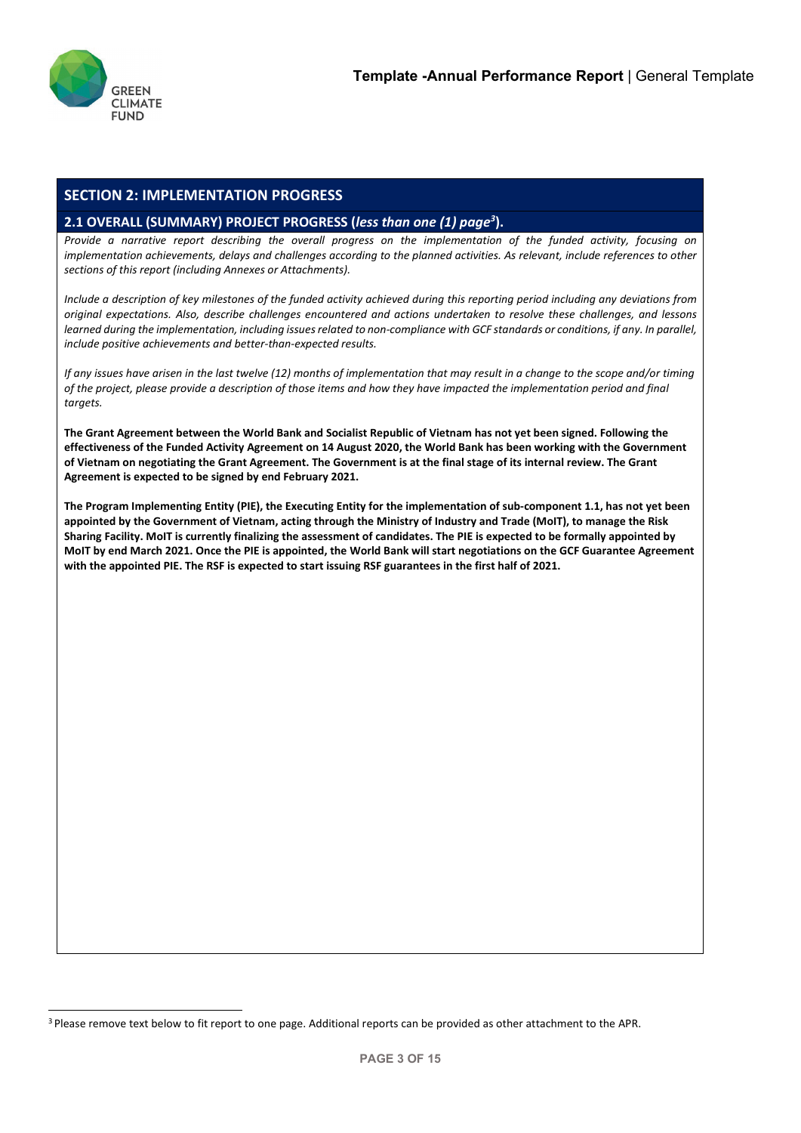

# **SECTION 2: IMPLEMENTATION PROGRESS**

# **2.1 OVERALL (SUMMARY) PROJECT PROGRESS (***less than one (1) pag[e3](#page--1-1)* **).**

*Provide a narrative report describing the overall progress on the implementation of the funded activity, focusing on implementation achievements, delays and challenges according to the planned activities. As relevant, include references to other sections of this report (including Annexes or Attachments).*

*Include a description of key milestones of the funded activity achieved during this reporting period including any deviations from original expectations. Also, describe challenges encountered and actions undertaken to resolve these challenges, and lessons*  learned during the implementation, including issues related to non-compliance with GCF standards or conditions, if any. In parallel, *include positive achievements and better-than-expected results.*

*If any issues have arisen in the last twelve (12) months of implementation that may result in a change to the scope and/or timing of the project, please provide a description of those items and how they have impacted the implementation period and final targets.*

**The Grant Agreement between the World Bank and Socialist Republic of Vietnam has not yet been signed. Following the effectiveness of the Funded Activity Agreement on 14 August 2020, the World Bank has been working with the Government of Vietnam on negotiating the Grant Agreement. The Government is at the final stage of its internal review. The Grant Agreement is expected to be signed by end February 2021.**

**The Program Implementing Entity (PIE), the Executing Entity for the implementation of sub-component 1.1, has not yet been appointed by the Government of Vietnam, acting through the Ministry of Industry and Trade (MoIT), to manage the Risk Sharing Facility. MoIT is currently finalizing the assessment of candidates. The PIE is expected to be formally appointed by MoIT by end March 2021. Once the PIE is appointed, the World Bank will start negotiations on the GCF Guarantee Agreement with the appointed PIE. The RSF is expected to start issuing RSF guarantees in the first half of 2021.**

<sup>&</sup>lt;sup>3</sup> Please remove text below to fit report to one page. Additional reports can be provided as other attachment to the APR.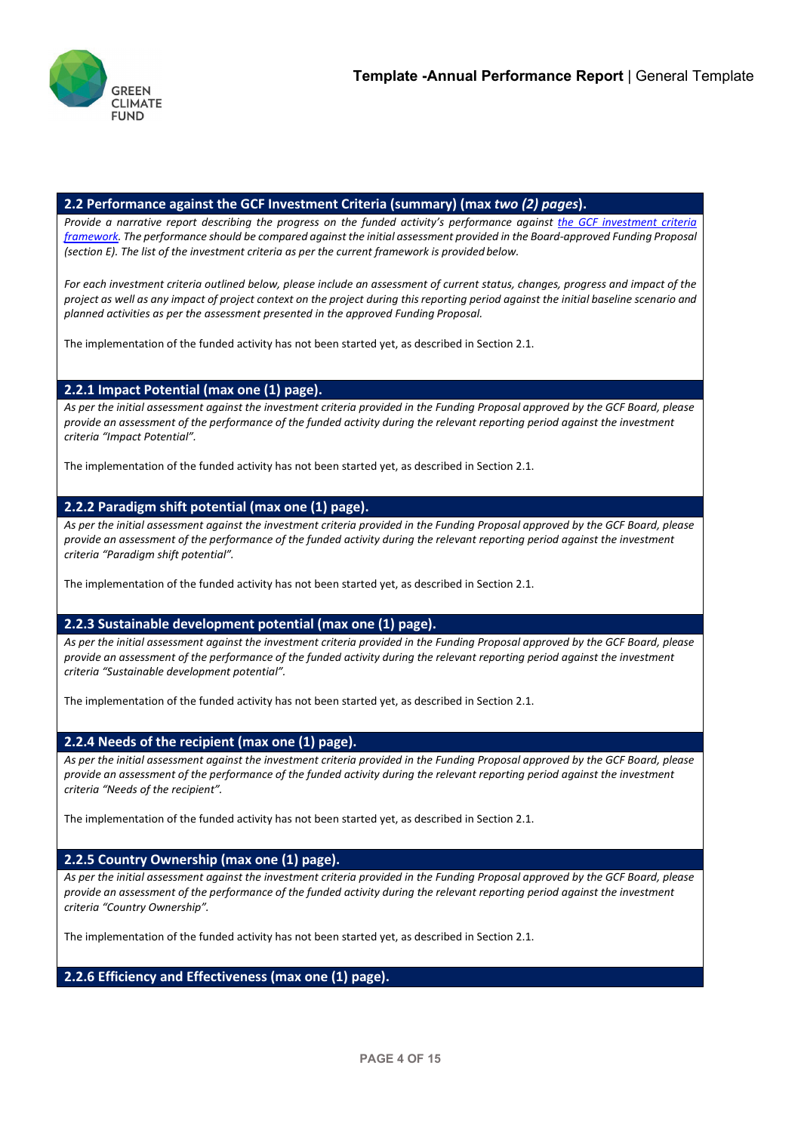

## **2.2 Performance against the GCF Investment Criteria (summary) (max** *two (2) pages***).**

*Provide a narrative report describing the progress on the funded activity's performance against [the GCF investment criteria](https://www.greenclimate.fund/documents/20182/239759/Initial_investment_framework__activity-specific_sub-criteria_and_indicative_assessment_factors.pdf/771ca88e-6cf2-469d-98e8-78be2b980940)* [framework.](https://www.greenclimate.fund/documents/20182/239759/Initial_investment_framework__activity-specific_sub-criteria_and_indicative_assessment_factors.pdf/771ca88e-6cf2-469d-98e8-78be2b980940) The performance should be compared against the initial assessment provided in the Board-approved Funding Proposal *(section E). The list of the investment criteria as per the current framework is provided below.*

*For each investment criteria outlined below, please include an assessment of current status, changes, progress and impact of the*  project as well as any impact of project context on the project during this reporting period against the initial baseline scenario and *planned activities as per the assessment presented in the approved Funding Proposal.*

The implementation of the funded activity has not been started yet, as described in Section 2.1.

## **2.2.1 Impact Potential (max one (1) page).**

*As per the initial assessment against the investment criteria provided in the Funding Proposal approved by the GCF Board, please provide an assessment of the performance of the funded activity during the relevant reporting period against the investment criteria "Impact Potential".*

The implementation of the funded activity has not been started yet, as described in Section 2.1.

## **2.2.2 Paradigm shift potential (max one (1) page).**

*As per the initial assessment against the investment criteria provided in the Funding Proposal approved by the GCF Board, please provide an assessment of the performance of the funded activity during the relevant reporting period against the investment criteria "Paradigm shift potential".*

The implementation of the funded activity has not been started yet, as described in Section 2.1.

## **2.2.3 Sustainable development potential (max one (1) page).**

*As per the initial assessment against the investment criteria provided in the Funding Proposal approved by the GCF Board, please provide an assessment of the performance of the funded activity during the relevant reporting period against the investment criteria "Sustainable development potential".*

The implementation of the funded activity has not been started yet, as described in Section 2.1.

## **2.2.4 Needs of the recipient (max one (1) page).**

*As per the initial assessment against the investment criteria provided in the Funding Proposal approved by the GCF Board, please provide an assessment of the performance of the funded activity during the relevant reporting period against the investment criteria "Needs of the recipient".*

The implementation of the funded activity has not been started yet, as described in Section 2.1.

# **2.2.5 Country Ownership (max one (1) page).**

*As per the initial assessment against the investment criteria provided in the Funding Proposal approved by the GCF Board, please provide an assessment of the performance of the funded activity during the relevant reporting period against the investment criteria "Country Ownership".*

The implementation of the funded activity has not been started yet, as described in Section 2.1.

**2.2.6 Efficiency and Effectiveness (max one (1) page).**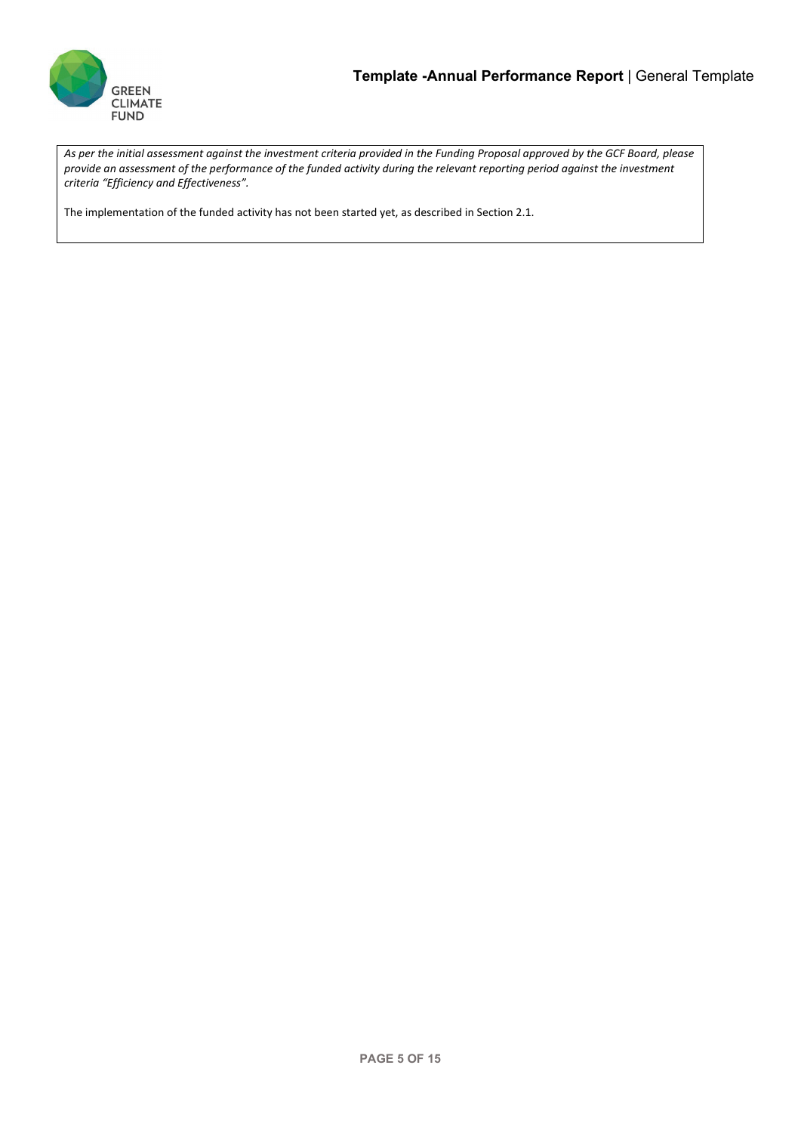

*As per the initial assessment against the investment criteria provided in the Funding Proposal approved by the GCF Board, please provide an assessment of the performance of the funded activity during the relevant reporting period against the investment criteria "Efficiency and Effectiveness".*

The implementation of the funded activity has not been started yet, as described in Section 2.1.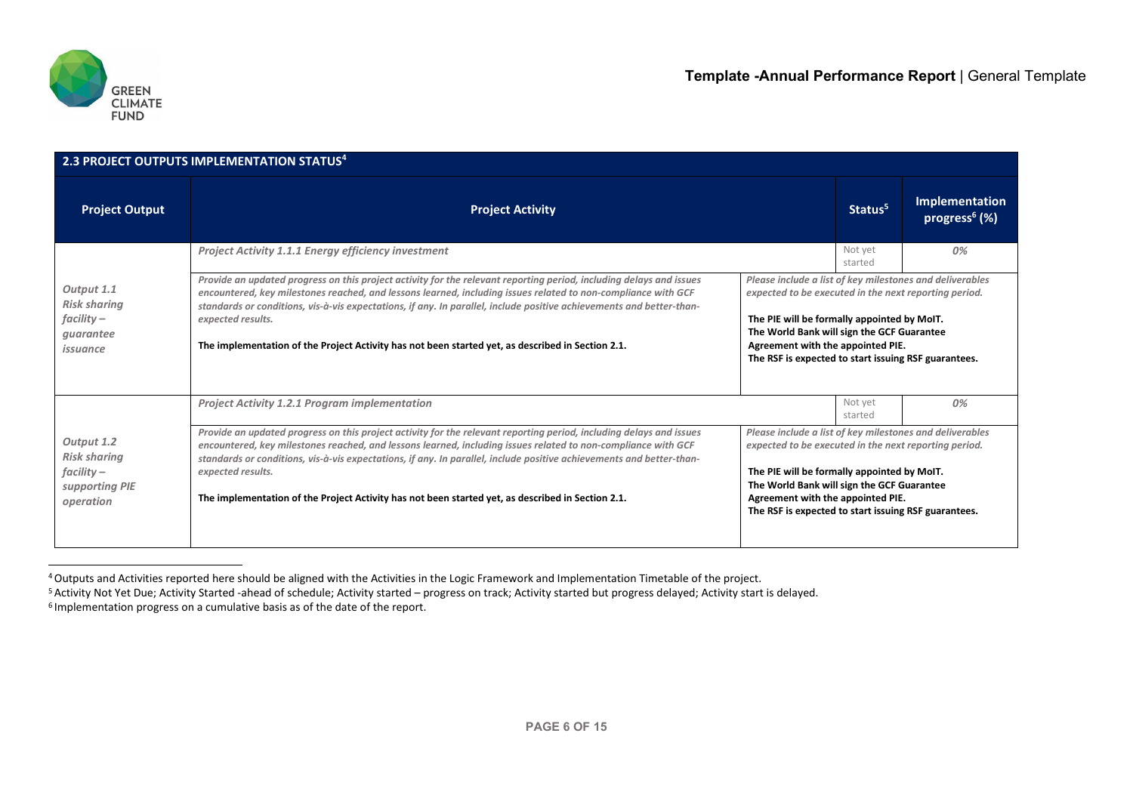

| 2.3 PROJECT OUTPUTS IMPLEMENTATION STATUS <sup>4</sup>                           |                                                                                                                                                                                                                                                                                                                                                                                                                                                                                        |                                                                                                                                                                                                                                                                                                             |                                                                                                                   |                                             |  |  |  |  |
|----------------------------------------------------------------------------------|----------------------------------------------------------------------------------------------------------------------------------------------------------------------------------------------------------------------------------------------------------------------------------------------------------------------------------------------------------------------------------------------------------------------------------------------------------------------------------------|-------------------------------------------------------------------------------------------------------------------------------------------------------------------------------------------------------------------------------------------------------------------------------------------------------------|-------------------------------------------------------------------------------------------------------------------|---------------------------------------------|--|--|--|--|
| <b>Project Output</b>                                                            | <b>Project Activity</b>                                                                                                                                                                                                                                                                                                                                                                                                                                                                |                                                                                                                                                                                                                                                                                                             | Status <sup>5</sup>                                                                                               | Implementation<br>progress <sup>6</sup> (%) |  |  |  |  |
|                                                                                  | <b>Project Activity 1.1.1 Energy efficiency investment</b>                                                                                                                                                                                                                                                                                                                                                                                                                             |                                                                                                                                                                                                                                                                                                             | Not yet<br>started                                                                                                | 0%                                          |  |  |  |  |
| Output 1.1<br><b>Risk sharing</b>                                                | Provide an updated progress on this project activity for the relevant reporting period, including delays and issues<br>encountered, key milestones reached, and lessons learned, including issues related to non-compliance with GCF                                                                                                                                                                                                                                                   |                                                                                                                                                                                                                                                                                                             | Please include a list of key milestones and deliverables<br>expected to be executed in the next reporting period. |                                             |  |  |  |  |
| $facility -$<br>quarantee<br>issuance                                            | standards or conditions, vis-à-vis expectations, if any. In parallel, include positive achievements and better-than-<br>expected results.<br>The implementation of the Project Activity has not been started yet, as described in Section 2.1.                                                                                                                                                                                                                                         | The PIE will be formally appointed by MoIT.<br>The World Bank will sign the GCF Guarantee<br>Agreement with the appointed PIE.<br>The RSF is expected to start issuing RSF guarantees.                                                                                                                      |                                                                                                                   |                                             |  |  |  |  |
|                                                                                  | <b>Project Activity 1.2.1 Program implementation</b>                                                                                                                                                                                                                                                                                                                                                                                                                                   |                                                                                                                                                                                                                                                                                                             | Not yet<br>started                                                                                                | 0%                                          |  |  |  |  |
| Output 1.2<br><b>Risk sharing</b><br>$facility -$<br>supporting PIE<br>operation | Provide an updated progress on this project activity for the relevant reporting period, including delays and issues<br>encountered, key milestones reached, and lessons learned, including issues related to non-compliance with GCF<br>standards or conditions, vis-à-vis expectations, if any. In parallel, include positive achievements and better-than-<br>expected results.<br>The implementation of the Project Activity has not been started yet, as described in Section 2.1. | Please include a list of key milestones and deliverables<br>expected to be executed in the next reporting period.<br>The PIE will be formally appointed by MoIT.<br>The World Bank will sign the GCF Guarantee<br>Agreement with the appointed PIE.<br>The RSF is expected to start issuing RSF guarantees. |                                                                                                                   |                                             |  |  |  |  |

<sup>4</sup> Outputs and Activities reported here should be aligned with the Activities in the Logic Framework and Implementation Timetable of the project.

<sup>&</sup>lt;sup>5</sup> Activity Not Yet Due; Activity Started -ahead of schedule; Activity started – progress on track; Activity started but progress delayed; Activity start is delayed. 6 Implementation progress on a cumulative basis as of the date of the report.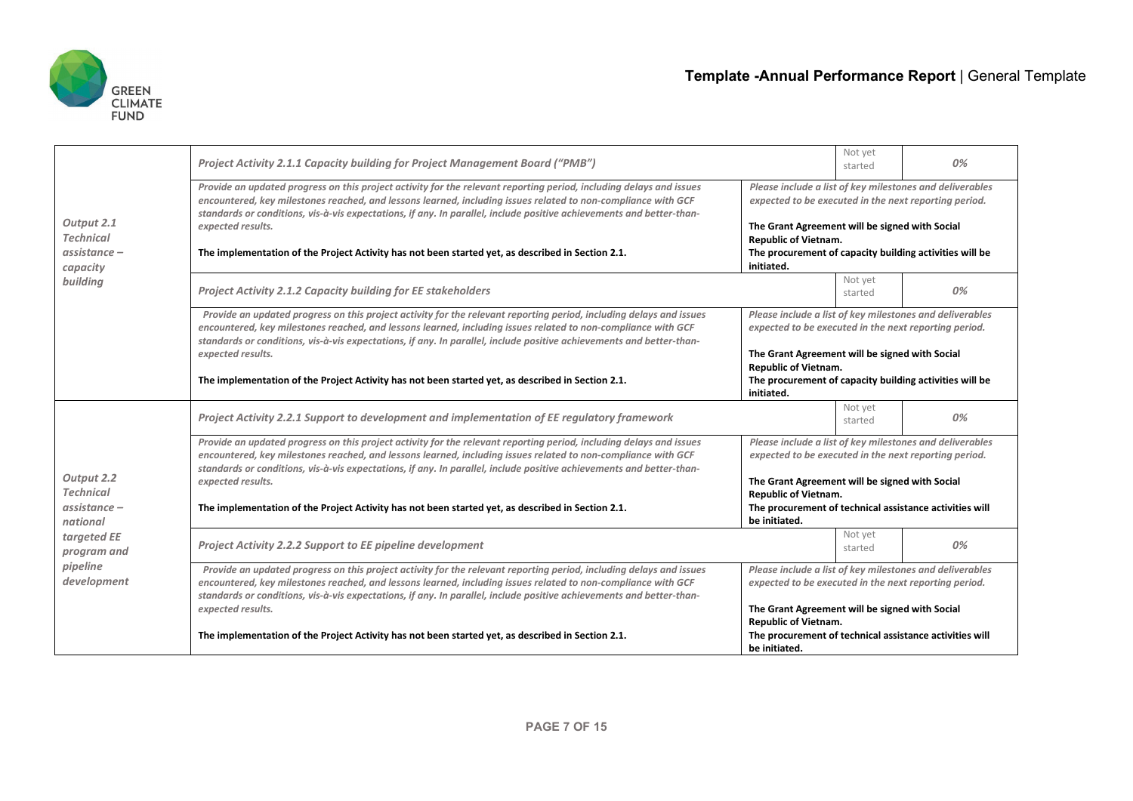

|                                                              | Project Activity 2.1.1 Capacity building for Project Management Board ("PMB")                                                                                                                                                                                                                                                                                                                                                                                                                                                       |                                                                               | Not yet<br>started | 0%                                                                                                                                                                                                                             |  |
|--------------------------------------------------------------|-------------------------------------------------------------------------------------------------------------------------------------------------------------------------------------------------------------------------------------------------------------------------------------------------------------------------------------------------------------------------------------------------------------------------------------------------------------------------------------------------------------------------------------|-------------------------------------------------------------------------------|--------------------|--------------------------------------------------------------------------------------------------------------------------------------------------------------------------------------------------------------------------------|--|
| Output 2.1<br><b>Technical</b><br>$assistance -$<br>capacity | Provide an updated progress on this project activity for the relevant reporting period, including delays and issues<br>encountered, key milestones reached, and lessons learned, including issues related to non-compliance with GCF<br>standards or conditions, vis-à-vis expectations, if any. In parallel, include positive achievements and better-than-<br>expected results.<br><b>Republic of Vietnam.</b><br>The implementation of the Project Activity has not been started yet, as described in Section 2.1.<br>initiated. |                                                                               |                    | Please include a list of key milestones and deliverables<br>expected to be executed in the next reporting period.<br>The Grant Agreement will be signed with Social<br>The procurement of capacity building activities will be |  |
| building                                                     | <b>Project Activity 2.1.2 Capacity building for EE stakeholders</b>                                                                                                                                                                                                                                                                                                                                                                                                                                                                 |                                                                               | Not yet<br>started | 0%                                                                                                                                                                                                                             |  |
|                                                              | Provide an updated progress on this project activity for the relevant reporting period, including delays and issues<br>encountered, key milestones reached, and lessons learned, including issues related to non-compliance with GCF<br>standards or conditions, vis-à-vis expectations, if any. In parallel, include positive achievements and better-than-                                                                                                                                                                        |                                                                               |                    | Please include a list of key milestones and deliverables<br>expected to be executed in the next reporting period.                                                                                                              |  |
|                                                              | expected results.                                                                                                                                                                                                                                                                                                                                                                                                                                                                                                                   | <b>Republic of Vietnam.</b>                                                   |                    | The Grant Agreement will be signed with Social                                                                                                                                                                                 |  |
|                                                              | The implementation of the Project Activity has not been started yet, as described in Section 2.1.                                                                                                                                                                                                                                                                                                                                                                                                                                   | The procurement of capacity building activities will be<br>initiated.         |                    |                                                                                                                                                                                                                                |  |
|                                                              | Project Activity 2.2.1 Support to development and implementation of EE regulatory framework                                                                                                                                                                                                                                                                                                                                                                                                                                         |                                                                               | Not yet<br>started | 0%                                                                                                                                                                                                                             |  |
|                                                              | Provide an updated progress on this project activity for the relevant reporting period, including delays and issues<br>encountered, key milestones reached, and lessons learned, including issues related to non-compliance with GCF<br>standards or conditions, vis-à-vis expectations, if any. In parallel, include positive achievements and better-than-                                                                                                                                                                        | expected to be executed in the next reporting period.                         |                    | Please include a list of key milestones and deliverables                                                                                                                                                                       |  |
| Output 2.2<br><b>Technical</b>                               | expected results.                                                                                                                                                                                                                                                                                                                                                                                                                                                                                                                   | The Grant Agreement will be signed with Social<br><b>Republic of Vietnam.</b> |                    |                                                                                                                                                                                                                                |  |
| $assistance -$<br>national                                   | The implementation of the Project Activity has not been started yet, as described in Section 2.1.                                                                                                                                                                                                                                                                                                                                                                                                                                   | be initiated.                                                                 |                    | The procurement of technical assistance activities will                                                                                                                                                                        |  |
| targeted EE<br>program and                                   | <b>Project Activity 2.2.2 Support to EE pipeline development</b>                                                                                                                                                                                                                                                                                                                                                                                                                                                                    |                                                                               | Not yet<br>started | 0%                                                                                                                                                                                                                             |  |
| pipeline<br>development                                      | Provide an updated progress on this project activity for the relevant reporting period, including delays and issues<br>encountered, key milestones reached, and lessons learned, including issues related to non-compliance with GCF<br>standards or conditions, vis-à-vis expectations, if any. In parallel, include positive achievements and better-than-                                                                                                                                                                        | expected to be executed in the next reporting period.                         |                    | Please include a list of key milestones and deliverables                                                                                                                                                                       |  |
|                                                              | expected results.                                                                                                                                                                                                                                                                                                                                                                                                                                                                                                                   | The Grant Agreement will be signed with Social<br><b>Republic of Vietnam.</b> |                    |                                                                                                                                                                                                                                |  |
|                                                              | The implementation of the Project Activity has not been started yet, as described in Section 2.1.                                                                                                                                                                                                                                                                                                                                                                                                                                   | The procurement of technical assistance activities will<br>be initiated.      |                    |                                                                                                                                                                                                                                |  |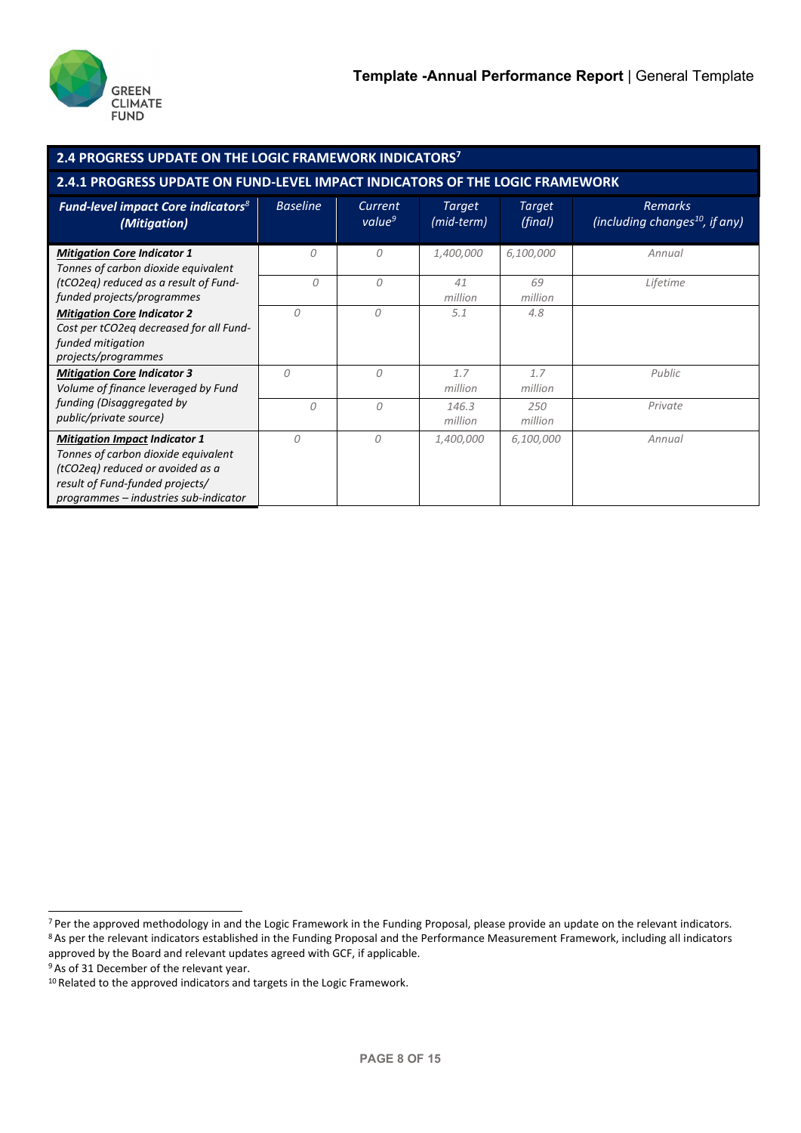

| 2.4 PROGRESS UPDATE ON THE LOGIC FRAMEWORK INDICATORS <sup>7</sup>                                                                                                                          |                 |                               |                             |                   |                                                              |  |  |  |
|---------------------------------------------------------------------------------------------------------------------------------------------------------------------------------------------|-----------------|-------------------------------|-----------------------------|-------------------|--------------------------------------------------------------|--|--|--|
| 2.4.1 PROGRESS UPDATE ON FUND-LEVEL IMPACT INDICATORS OF THE LOGIC FRAMEWORK                                                                                                                |                 |                               |                             |                   |                                                              |  |  |  |
| <b>Fund-level impact Core indicators</b> <sup>8</sup><br>(Mitigation)                                                                                                                       | <b>Baseline</b> | Current<br>value <sup>9</sup> | <b>Target</b><br>(mid-term) | Target<br>(final) | <b>Remarks</b><br>(including changes <sup>10</sup> , if any) |  |  |  |
| <b>Mitigation Core Indicator 1</b><br>Tonnes of carbon dioxide equivalent                                                                                                                   | $\Omega$        | 0                             | 1,400,000                   | 6,100,000         | Annual                                                       |  |  |  |
| (tCO2eq) reduced as a result of Fund-<br>funded projects/programmes                                                                                                                         | 0               | 0                             | 41<br>million               | 69<br>million     | Lifetime                                                     |  |  |  |
| <b>Mitigation Core Indicator 2</b><br>Cost per tCO2eg decreased for all Fund-<br>funded mitigation<br>projects/programmes                                                                   | 0               | 0                             | 5.1                         | 4.8               |                                                              |  |  |  |
| <b>Mitigation Core Indicator 3</b><br>Volume of finance leveraged by Fund                                                                                                                   | $\Omega$        | $\mathcal{O}$                 | 1.7<br>million              | 1.7<br>million    | Public                                                       |  |  |  |
| funding (Disaggregated by<br>public/private source)                                                                                                                                         | $\Omega$        | 0                             | 146.3<br>million            | 250<br>million    | Private                                                      |  |  |  |
| <b>Mitigation Impact Indicator 1</b><br>Tonnes of carbon dioxide equivalent<br>(tCO2eq) reduced or avoided as a<br>result of Fund-funded projects/<br>programmes – industries sub-indicator | $\Omega$        | $\Omega$                      | 1,400,000                   | 6,100,000         | Annual                                                       |  |  |  |

 $7$  Per the approved methodology in and the Logic Framework in the Funding Proposal, please provide an update on the relevant indicators.<br>  $8$ As per the relevant indicators established in the Funding Proposal and the Perf approved by the Board and relevant updates agreed with GCF, if applicable.

<sup>&</sup>lt;sup>9</sup> As of 31 December of the relevant year.

<sup>&</sup>lt;sup>10</sup> Related to the approved indicators and targets in the Logic Framework.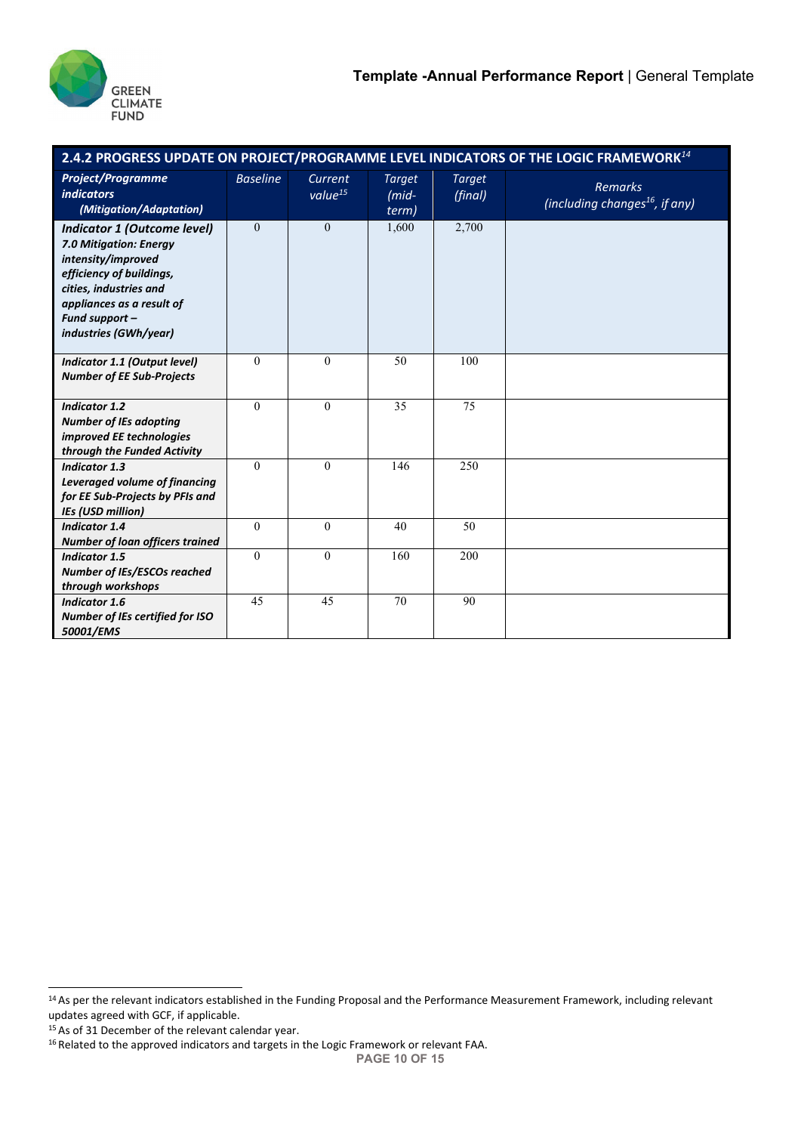

| 2.4.2 PROGRESS UPDATE ON PROJECT/PROGRAMME LEVEL INDICATORS OF THE LOGIC FRAMEWORK <sup>14</sup>                                                                                                                 |                 |                                |                                      |                          |                                                              |  |  |
|------------------------------------------------------------------------------------------------------------------------------------------------------------------------------------------------------------------|-----------------|--------------------------------|--------------------------------------|--------------------------|--------------------------------------------------------------|--|--|
| <b>Project/Programme</b><br><i>indicators</i><br>(Mitigation/Adaptation)                                                                                                                                         | <b>Baseline</b> | Current<br>value <sup>15</sup> | <b>Target</b><br>$(mid - )$<br>term) | <b>Target</b><br>(final) | <b>Remarks</b><br>(including changes <sup>16</sup> , if any) |  |  |
| <b>Indicator 1 (Outcome level)</b><br>7.0 Mitigation: Energy<br>intensity/improved<br>efficiency of buildings,<br>cities, industries and<br>appliances as a result of<br>Fund support -<br>industries (GWh/year) | $\mathbf{0}$    | $\mathbf{0}$                   | 1,600                                | 2,700                    |                                                              |  |  |
| Indicator 1.1 (Output level)<br><b>Number of EE Sub-Projects</b>                                                                                                                                                 | $\theta$        | $\theta$                       | 50                                   | 100                      |                                                              |  |  |
| <b>Indicator 1.2</b><br><b>Number of IEs adopting</b><br>improved EE technologies<br>through the Funded Activity                                                                                                 | $\theta$        | $\theta$                       | 35                                   | 75                       |                                                              |  |  |
| <b>Indicator 1.3</b><br>Leveraged volume of financing<br>for EE Sub-Projects by PFIs and<br><b>IEs (USD million)</b>                                                                                             | $\theta$        | $\theta$                       | 146                                  | 250                      |                                                              |  |  |
| <b>Indicator 1.4</b><br><b>Number of loan officers trained</b>                                                                                                                                                   | $\theta$        | $\overline{0}$                 | 40                                   | 50                       |                                                              |  |  |
| <b>Indicator 1.5</b><br>Number of IEs/ESCOs reached<br>through workshops                                                                                                                                         | $\theta$        | $\theta$                       | 160                                  | 200                      |                                                              |  |  |
| <b>Indicator 1.6</b><br>Number of IEs certified for ISO<br>50001/EMS                                                                                                                                             | 45              | 45                             | 70                                   | 90                       |                                                              |  |  |

<sup>14</sup> As per the relevant indicators established in the Funding Proposal and the Performance Measurement Framework, including relevant updates agreed with GCF, if applicable.

<sup>15</sup> As of 31 December of the relevant calendar year.

<sup>&</sup>lt;sup>16</sup> Related to the approved indicators and targets in the Logic Framework or relevant FAA.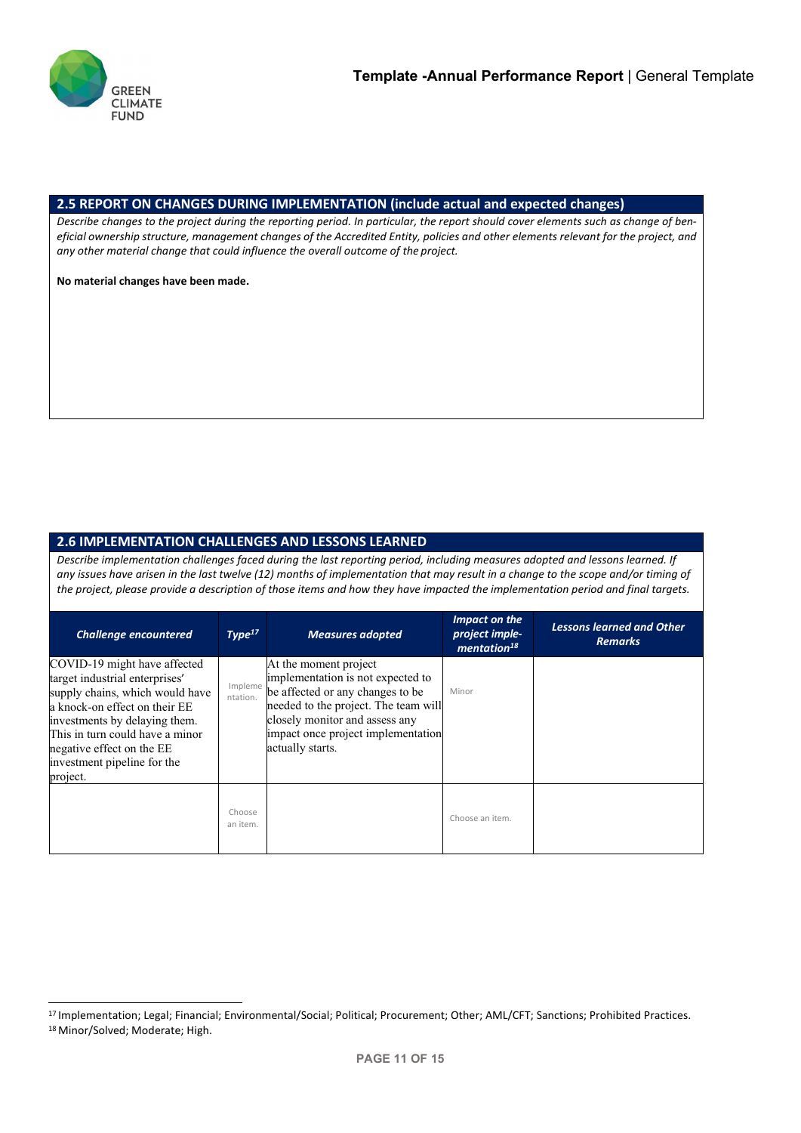

## **2.5 REPORT ON CHANGES DURING IMPLEMENTATION (include actual and expected changes)**

*Describe changes to the project during the reporting period. In particular, the report should cover elements such as change of ben*eficial ownership structure, management changes of the Accredited Entity, policies and other elements relevant for the project, and *any other material change that could influence the overall outcome of the project.*

**No material changes have been made.**

# **2.6 IMPLEMENTATION CHALLENGES AND LESSONS LEARNED**

*Describe implementation challenges faced during the last reporting period, including measures adopted and lessons learned. If any issues have arisen in the last twelve (12) months of implementation that may result in a change to the scope and/or timing of the project, please provide a description of those items and how they have impacted the implementation period and final targets.*

| <b>Challenge encountered</b>                                                                                                                                                                                                                                                   | Type <sup>17</sup>  | <b>Measures adopted</b>                                                                                                                                                                                                            | Impact on the<br>project imple-<br>mentation <sup>18</sup> | <b>Lessons learned and Other</b><br><b>Remarks</b> |
|--------------------------------------------------------------------------------------------------------------------------------------------------------------------------------------------------------------------------------------------------------------------------------|---------------------|------------------------------------------------------------------------------------------------------------------------------------------------------------------------------------------------------------------------------------|------------------------------------------------------------|----------------------------------------------------|
| COVID-19 might have affected<br>target industrial enterprises'<br>supply chains, which would have<br>a knock-on effect on their EE<br>investments by delaying them.<br>This in turn could have a minor<br>negative effect on the EE<br>investment pipeline for the<br>project. | Impleme<br>ntation. | At the moment project<br>implementation is not expected to<br>be affected or any changes to be<br>needed to the project. The team will<br>closely monitor and assess any<br>impact once project implementation<br>actually starts. | Minor                                                      |                                                    |
|                                                                                                                                                                                                                                                                                | Choose<br>an item.  |                                                                                                                                                                                                                                    | Choose an item.                                            |                                                    |

<sup>17</sup> Implementation; Legal; Financial; Environmental/Social; Political; Procurement; Other; AML/CFT; Sanctions; Prohibited Practices. 18 Minor/Solved; Moderate; High.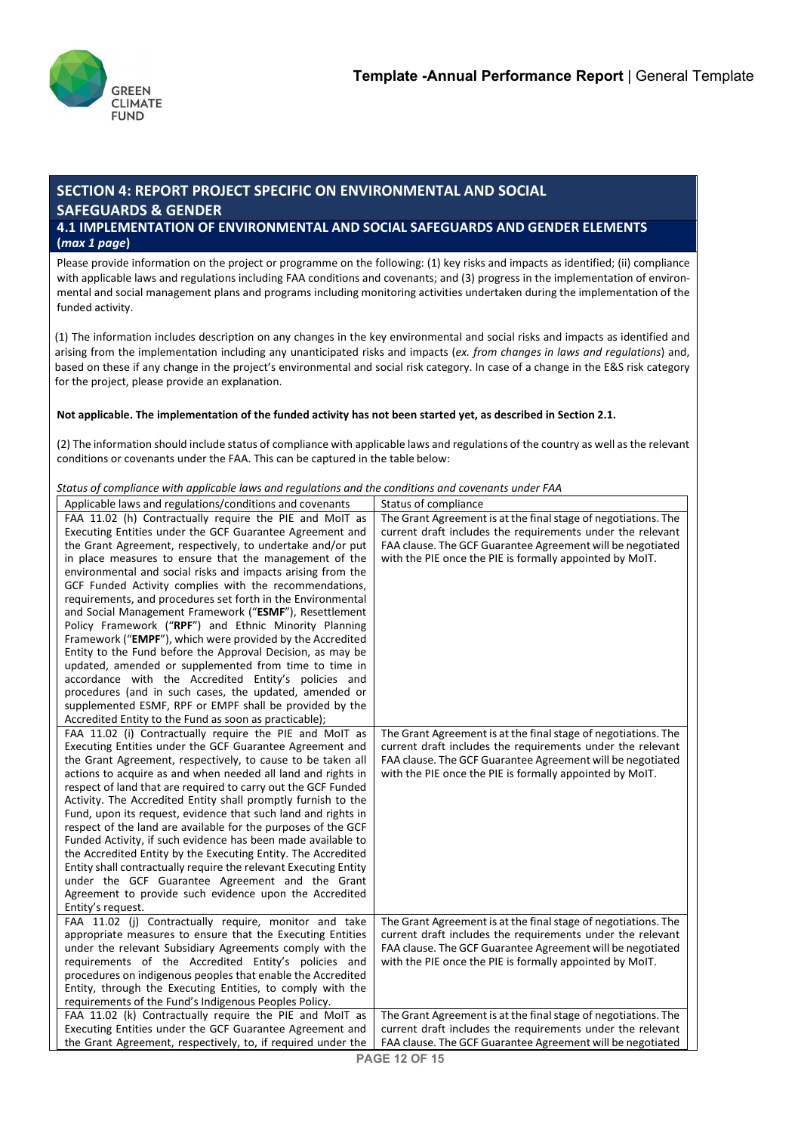

# **SECTION 4: REPORT PROJECT SPECIFIC ON ENVIRONMENTAL AND SOCIAL SAFEGUARDS & GENDER 4.1 IMPLEMENTATION OF ENVIRONMENTAL AND SOCIAL SAFEGUARDS AND GENDER ELEMENTS**

**(***max 1 page***)**

Please provide information on the project or programme on the following: (1) key risks and impacts as identified; (ii) compliance with applicable laws and regulations including FAA conditions and covenants; and (3) progress in the implementation of environmental and social management plans and programs including monitoring activities undertaken during the implementation of the funded activity.

(1) The information includes description on any changes in the key environmental and social risks and impacts as identified and arising from the implementation including any unanticipated risks and impacts (*ex. from changes in laws and regulations*) and, based on these if any change in the project's environmental and social risk category. In case of a change in the E&S risk category for the project, please provide an explanation.

### **Not applicable. The implementation of the funded activity has not been started yet, as described in Section 2.1.**

(2) The information should include status of compliance with applicable laws and regulations of the country as well as the relevant conditions or covenants under the FAA. This can be captured in the table below:

#### *Status of compliance with applicable laws and regulations and the conditions and covenants under FAA*

| Applicable laws and regulations/conditions and covenants                                                                    | Status of compliance                                                                                                   |
|-----------------------------------------------------------------------------------------------------------------------------|------------------------------------------------------------------------------------------------------------------------|
| FAA 11.02 (h) Contractually require the PIE and MoIT as                                                                     | The Grant Agreement is at the final stage of negotiations. The                                                         |
| Executing Entities under the GCF Guarantee Agreement and                                                                    | current draft includes the requirements under the relevant                                                             |
| the Grant Agreement, respectively, to undertake and/or put                                                                  | FAA clause. The GCF Guarantee Agreement will be negotiated                                                             |
| in place measures to ensure that the management of the                                                                      | with the PIE once the PIE is formally appointed by MoIT.                                                               |
| environmental and social risks and impacts arising from the                                                                 |                                                                                                                        |
| GCF Funded Activity complies with the recommendations,                                                                      |                                                                                                                        |
| requirements, and procedures set forth in the Environmental                                                                 |                                                                                                                        |
| and Social Management Framework ("ESMF"), Resettlement                                                                      |                                                                                                                        |
| Policy Framework ("RPF") and Ethnic Minority Planning                                                                       |                                                                                                                        |
| Framework ("EMPF"), which were provided by the Accredited                                                                   |                                                                                                                        |
| Entity to the Fund before the Approval Decision, as may be                                                                  |                                                                                                                        |
| updated, amended or supplemented from time to time in                                                                       |                                                                                                                        |
| accordance with the Accredited Entity's policies and                                                                        |                                                                                                                        |
| procedures (and in such cases, the updated, amended or                                                                      |                                                                                                                        |
| supplemented ESMF, RPF or EMPF shall be provided by the                                                                     |                                                                                                                        |
| Accredited Entity to the Fund as soon as practicable);                                                                      |                                                                                                                        |
| FAA 11.02 (i) Contractually require the PIE and MoIT as                                                                     | The Grant Agreement is at the final stage of negotiations. The                                                         |
| Executing Entities under the GCF Guarantee Agreement and                                                                    | current draft includes the requirements under the relevant                                                             |
| the Grant Agreement, respectively, to cause to be taken all<br>actions to acquire as and when needed all land and rights in | FAA clause. The GCF Guarantee Agreement will be negotiated<br>with the PIE once the PIE is formally appointed by MoIT. |
| respect of land that are required to carry out the GCF Funded                                                               |                                                                                                                        |
| Activity. The Accredited Entity shall promptly furnish to the                                                               |                                                                                                                        |
| Fund, upon its request, evidence that such land and rights in                                                               |                                                                                                                        |
| respect of the land are available for the purposes of the GCF                                                               |                                                                                                                        |
| Funded Activity, if such evidence has been made available to                                                                |                                                                                                                        |
| the Accredited Entity by the Executing Entity. The Accredited                                                               |                                                                                                                        |
| Entity shall contractually require the relevant Executing Entity                                                            |                                                                                                                        |
| under the GCF Guarantee Agreement and the Grant                                                                             |                                                                                                                        |
| Agreement to provide such evidence upon the Accredited                                                                      |                                                                                                                        |
| Entity's request.                                                                                                           |                                                                                                                        |
| FAA 11.02 (j) Contractually require, monitor and take                                                                       | The Grant Agreement is at the final stage of negotiations. The                                                         |
| appropriate measures to ensure that the Executing Entities                                                                  | current draft includes the requirements under the relevant                                                             |
| under the relevant Subsidiary Agreements comply with the                                                                    | FAA clause. The GCF Guarantee Agreement will be negotiated                                                             |
| requirements of the Accredited Entity's policies and                                                                        | with the PIE once the PIE is formally appointed by MoIT.                                                               |
| procedures on indigenous peoples that enable the Accredited                                                                 |                                                                                                                        |
| Entity, through the Executing Entities, to comply with the                                                                  |                                                                                                                        |
| requirements of the Fund's Indigenous Peoples Policy.                                                                       |                                                                                                                        |
| FAA 11.02 (k) Contractually require the PIE and MoIT as                                                                     | The Grant Agreement is at the final stage of negotiations. The                                                         |
| Executing Entities under the GCF Guarantee Agreement and                                                                    | current draft includes the requirements under the relevant                                                             |
| the Grant Agreement, respectively, to, if required under the                                                                | FAA clause. The GCF Guarantee Agreement will be negotiated                                                             |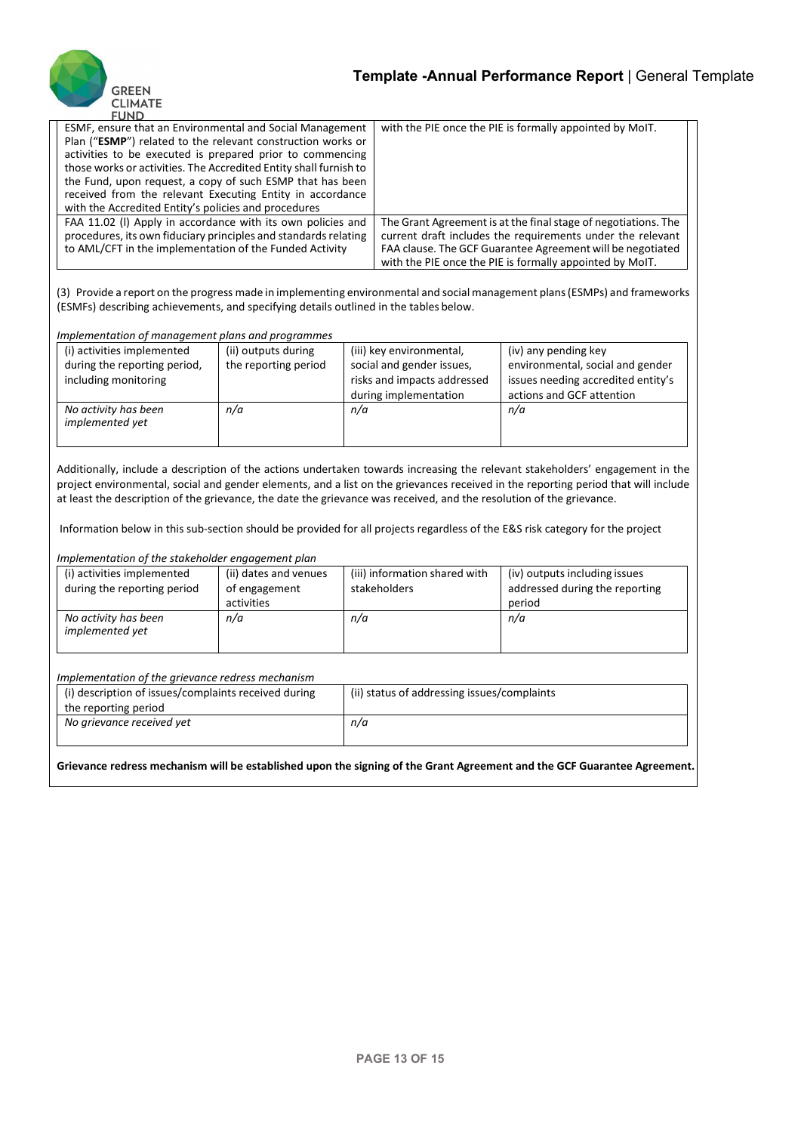

| гомо                                                              |                                                                |
|-------------------------------------------------------------------|----------------------------------------------------------------|
| ESMF, ensure that an Environmental and Social Management          | with the PIE once the PIE is formally appointed by MoIT.       |
| Plan ("ESMP") related to the relevant construction works or       |                                                                |
| activities to be executed is prepared prior to commencing         |                                                                |
| those works or activities. The Accredited Entity shall furnish to |                                                                |
| the Fund, upon request, a copy of such ESMP that has been         |                                                                |
| received from the relevant Executing Entity in accordance         |                                                                |
| with the Accredited Entity's policies and procedures              |                                                                |
| FAA 11.02 (I) Apply in accordance with its own policies and       | The Grant Agreement is at the final stage of negotiations. The |
| procedures, its own fiduciary principles and standards relating   | current draft includes the requirements under the relevant     |
| to AML/CFT in the implementation of the Funded Activity           | FAA clause. The GCF Guarantee Agreement will be negotiated     |
|                                                                   | with the PIE once the PIE is formally appointed by MoIT.       |

(3) Provide a report on the progress made in implementing environmental and social management plans (ESMPs) and frameworks (ESMFs) describing achievements, and specifying details outlined in the tables below.

#### *Implementation of management plans and programmes*

| (i) activities implemented   | (ii) outputs during  | (iii) key environmental,    | (iv) any pending key               |
|------------------------------|----------------------|-----------------------------|------------------------------------|
| during the reporting period, | the reporting period | social and gender issues,   | environmental, social and gender   |
| including monitoring         |                      | risks and impacts addressed | issues needing accredited entity's |
|                              |                      | during implementation       | actions and GCF attention          |
| No activity has been         | n/a                  | n/a                         | n/a                                |
| implemented yet              |                      |                             |                                    |
|                              |                      |                             |                                    |

Additionally, include a description of the actions undertaken towards increasing the relevant stakeholders' engagement in the project environmental, social and gender elements, and a list on the grievances received in the reporting period that will include at least the description of the grievance, the date the grievance was received, and the resolution of the grievance.

Information below in this sub-section should be provided for all projects regardless of the E&S risk category for the project

#### *Implementation of the stakeholder engagement plan*

| (i) activities implemented<br>during the reporting period | (ii) dates and venues<br>of engagement | (iii) information shared with<br>stakeholders | (iv) outputs including issues<br>addressed during the reporting |  |
|-----------------------------------------------------------|----------------------------------------|-----------------------------------------------|-----------------------------------------------------------------|--|
|                                                           | activities                             |                                               | period                                                          |  |
| No activity has been<br><i>implemented</i> yet            | n/a                                    | n/a                                           | n/a                                                             |  |

### *Implementation of the grievance redress mechanism*

| (i) description of issues/complaints received during | (ii) status of addressing issues/complaints |
|------------------------------------------------------|---------------------------------------------|
| the reporting period                                 |                                             |
| No grievance received yet                            | n/a                                         |
|                                                      |                                             |

**Grievance redress mechanism will be established upon the signing of the Grant Agreement and the GCF Guarantee Agreement.**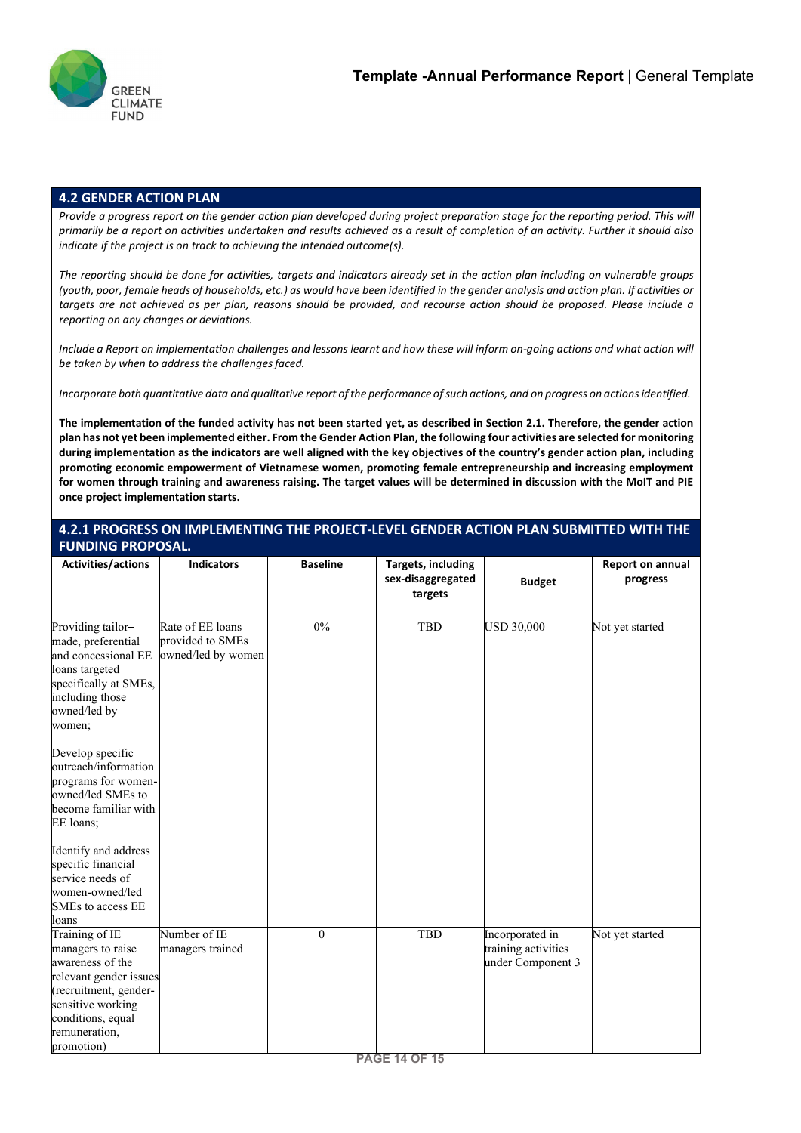

## **4.2 GENDER ACTION PLAN**

*Provide a progress report on the gender action plan developed during project preparation stage for the reporting period. This will primarily be a report on activities undertaken and results achieved as a result of completion of an activity. Further it should also indicate if the project is on track to achieving the intended outcome(s).*

*The reporting should be done for activities, targets and indicators already set in the action plan including on vulnerable groups*  (youth, poor, female heads of households, etc.) as would have been identified in the gender analysis and action plan. If activities or *targets are not achieved as per plan, reasons should be provided, and recourse action should be proposed. Please include a reporting on any changes or deviations.*

Include a Report on implementation challenges and lessons learnt and how these will inform on-going actions and what action will *be taken by when to address the challengesfaced.*

Incorporate both quantitative data and qualitative report of the performance of such actions, and on progress on actions identified.

**The implementation of the funded activity has not been started yet, as described in Section 2.1. Therefore, the gender action plan has not yet been implemented either. From the Gender Action Plan, the following four activities are selected for monitoring during implementation as the indicators are well aligned with the key objectives of the country's gender action plan, including promoting economic empowerment of Vietnamese women, promoting female entrepreneurship and increasing employment for women through training and awareness raising. The target values will be determined in discussion with the MoIT and PIE once project implementation starts.**

## **4.2.1 PROGRESS ON IMPLEMENTING THE PROJECT-LEVEL GENDER ACTION PLAN SUBMITTED WITH THE FUNDING PROPOSAL.**

| Activities/actions                                                                                                                                                                  | <b>Indicators</b>                                          | <b>Baseline</b> | <b>Targets, including</b><br>sex-disaggregated<br>targets | <b>Budget</b>                                               | <b>Report on annual</b><br>progress |
|-------------------------------------------------------------------------------------------------------------------------------------------------------------------------------------|------------------------------------------------------------|-----------------|-----------------------------------------------------------|-------------------------------------------------------------|-------------------------------------|
| Providing tailor-<br>made, preferential<br>and concessional EE<br>loans targeted<br>specifically at SMEs,<br>including those<br>owned/led by<br>women;                              | Rate of EE loans<br>provided to SMEs<br>owned/led by women | $0\%$           | TBD                                                       | <b>USD 30,000</b>                                           | Not yet started                     |
| Develop specific<br>outreach/information<br>programs for women-<br>owned/led SMEs to<br>become familiar with<br>EE loans;                                                           |                                                            |                 |                                                           |                                                             |                                     |
| Identify and address<br>specific financial<br>service needs of<br>women-owned/led<br>SMEs to access EE<br>loans                                                                     |                                                            |                 |                                                           |                                                             |                                     |
| Training of IE<br>managers to raise<br>awareness of the<br>relevant gender issues<br>(recruitment, gender-<br>sensitive working<br>conditions, equal<br>remuneration,<br>promotion) | Number of IE<br>managers trained                           | $\theta$        | TBD                                                       | Incorporated in<br>training activities<br>under Component 3 | Not yet started                     |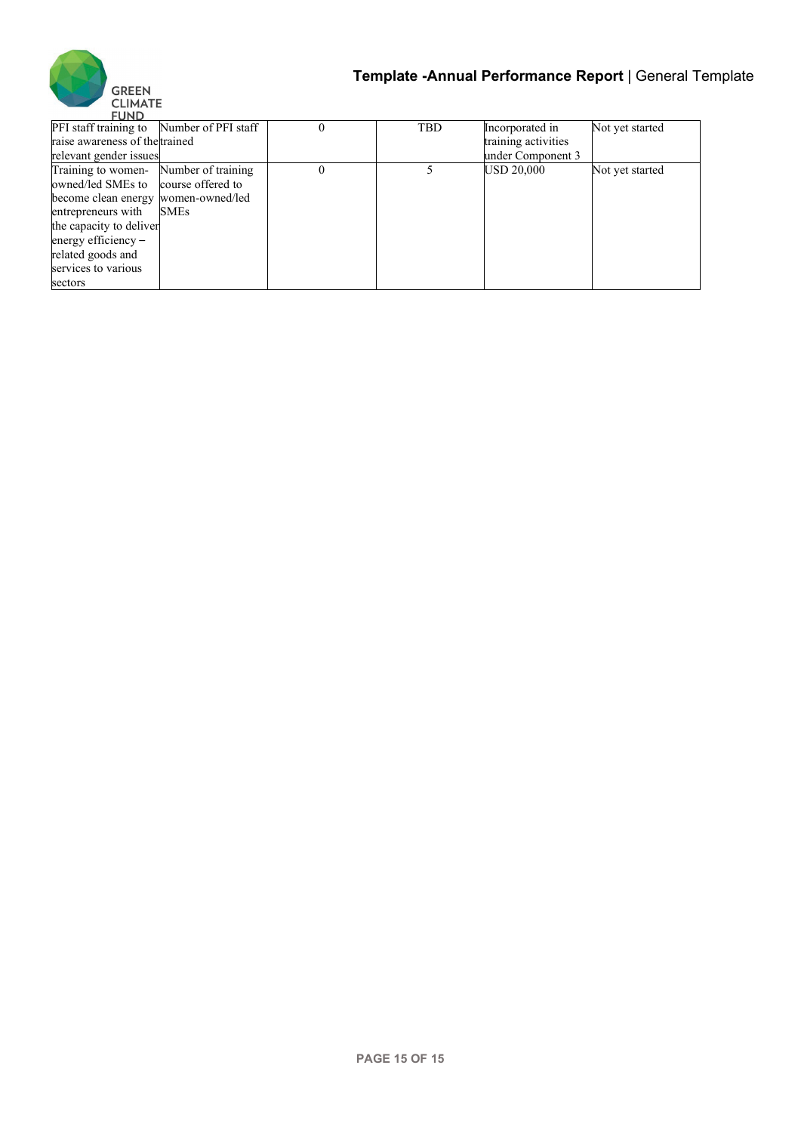

| FUND                                      |             |            |                     |                 |
|-------------------------------------------|-------------|------------|---------------------|-----------------|
| PFI staff training to Number of PFI staff |             | <b>TBD</b> | Incorporated in     | Not yet started |
| raise awareness of the trained            |             |            | training activities |                 |
| relevant gender issues                    |             |            | under Component 3   |                 |
| Training to women- Number of training     |             |            | <b>USD 20,000</b>   | Not yet started |
| owned/led SMEs to course offered to       |             |            |                     |                 |
| become clean energy women-owned/led       |             |            |                     |                 |
| entrepreneurs with                        | <b>SMEs</b> |            |                     |                 |
| the capacity to deliver                   |             |            |                     |                 |
| energy efficiency $-$                     |             |            |                     |                 |
| related goods and                         |             |            |                     |                 |
| services to various                       |             |            |                     |                 |
| sectors                                   |             |            |                     |                 |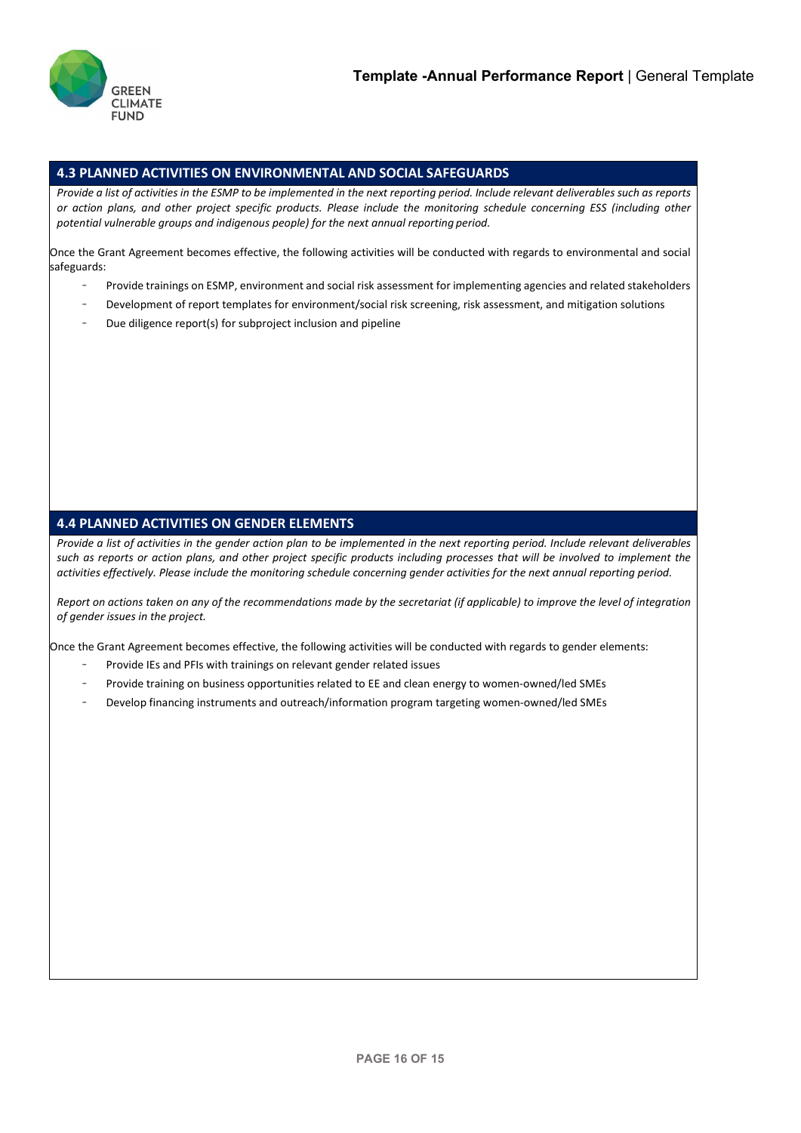

## **4.3 PLANNED ACTIVITIES ON ENVIRONMENTAL AND SOCIAL SAFEGUARDS**

Provide a list of activities in the ESMP to be implemented in the next reporting period. Include relevant deliverables such as reports *or action plans, and other project specific products. Please include the monitoring schedule concerning ESS (including other potential vulnerable groups and indigenous people) for the next annual reporting period.*

Once the Grant Agreement becomes effective, the following activities will be conducted with regards to environmental and social safeguards:

- Provide trainings on ESMP, environment and social risk assessment for implementing agencies and related stakeholders
- Development of report templates for environment/social risk screening, risk assessment, and mitigation solutions
- Due diligence report(s) for subproject inclusion and pipeline

# **4.4 PLANNED ACTIVITIES ON GENDER ELEMENTS**

*Provide a list of activities in the gender action plan to be implemented in the next reporting period. Include relevant deliverables such as reports or action plans, and other project specific products including processes that will be involved to implement the activities effectively. Please include the monitoring schedule concerning gender activities for the next annual reporting period.*

Report on actions taken on any of the recommendations made by the secretariat (if applicable) to improve the level of integration *of gender issues in the project.*

Once the Grant Agreement becomes effective, the following activities will be conducted with regards to gender elements:

- Provide IEs and PFIs with trainings on relevant gender related issues
- Provide training on business opportunities related to EE and clean energy to women-owned/led SMEs
- Develop financing instruments and outreach/information program targeting women-owned/led SMEs